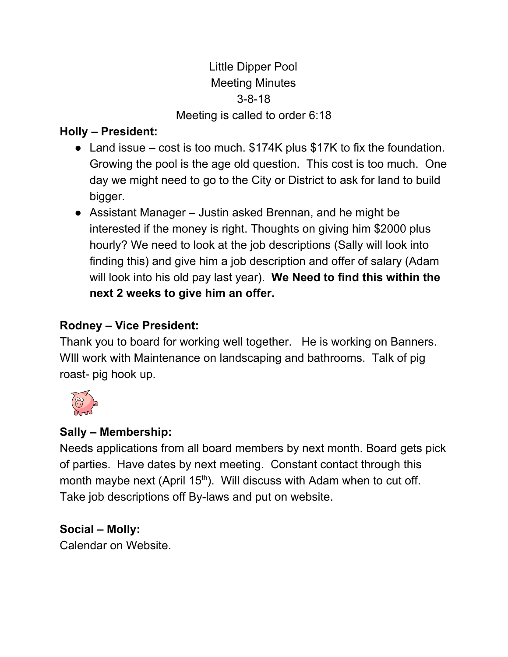# Little Dipper Pool Meeting Minutes 3-8-18 Meeting is called to order 6:18

## **Holly – President:**

- Land issue  $-$  cost is too much.  $$174K$  plus  $$17K$  to fix the foundation. Growing the pool is the age old question. This cost is too much. One day we might need to go to the City or District to ask for land to build bigger.
- Assistant Manager Justin asked Brennan, and he might be interested if the money is right. Thoughts on giving him \$2000 plus hourly? We need to look at the job descriptions (Sally will look into finding this) and give him a job description and offer of salary (Adam will look into his old pay last year). **We Need to find this within the next 2 weeks to give him an offer.**

## **Rodney – Vice President:**

Thank you to board for working well together. He is working on Banners. WIll work with Maintenance on landscaping and bathrooms. Talk of pig roast- pig hook up.



# **Sally – Membership:**

Needs applications from all board members by next month. Board gets pick of parties. Have dates by next meeting. Constant contact through this month maybe next (April  $15<sup>th</sup>$ ). Will discuss with Adam when to cut off. Take job descriptions off By-laws and put on website.

## **Social – Molly:**

Calendar on Website.